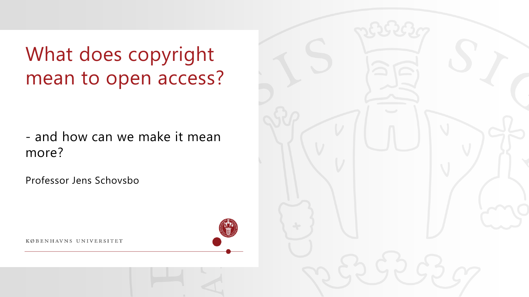What does copyright mean to open access?

- and how can we make it mean more?

Professor Jens Schovsbo

KØBENHAVNS UNIVERSITET

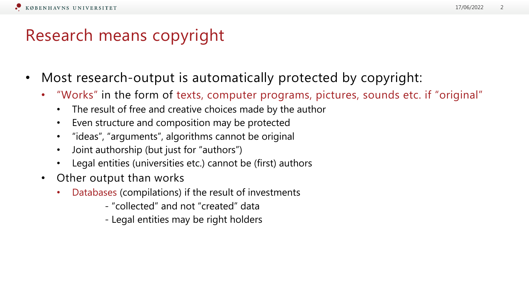## Research means copyright

- Most research-output is automatically protected by copyright:
	- "Works" in the form of texts, computer programs, pictures, sounds etc. if "original"
		- The result of free and creative choices made by the author
		- Even structure and composition may be protected
		- "ideas", "arguments", algorithms cannot be original
		- Joint authorship (but just for "authors")
		- Legal entities (universities etc.) cannot be (first) authors
	- Other output than works
		- Databases (compilations) if the result of investments
			- "collected" and not "created" data
			- Legal entities may be right holders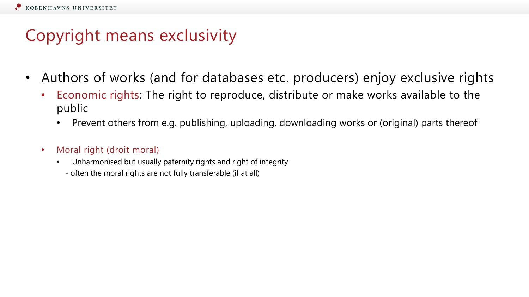# Copyright means exclusivity

- Authors of works (and for databases etc. producers) enjoy exclusive rights
	- Economic rights: The right to reproduce, distribute or make works available to the public
		- Prevent others from e.g. publishing, uploading, downloading works or (original) parts thereof
	- Moral right (droit moral)
		- Unharmonised but usually paternity rights and right of integrity
			- often the moral rights are not fully transferable (if at all)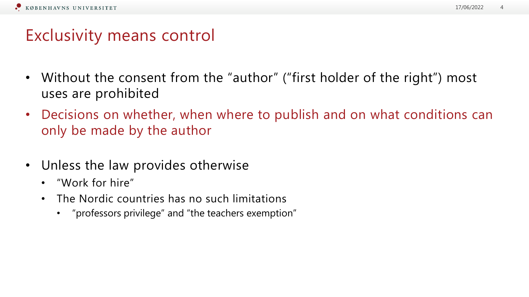### Exclusivity means control

- Without the consent from the "author" ("first holder of the right") most uses are prohibited
- Decisions on whether, when where to publish and on what conditions can only be made by the author
- Unless the law provides otherwise
	- "Work for hire"
	- The Nordic countries has no such limitations
		- "professors privilege" and "the teachers exemption"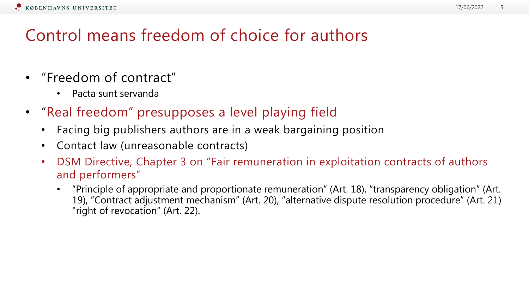# Control means freedom of choice for authors

- "Freedom of contract"
	- Pacta sunt servanda
- "Real freedom" presupposes a level playing field
	- Facing big publishers authors are in a weak bargaining position
	- Contact law (unreasonable contracts)
	- DSM Directive, Chapter 3 on "Fair remuneration in exploitation contracts of authors and performers"
		- "Principle of appropriate and proportionate remuneration" (Art. 18), "transparency obligation" (Art. 19), "Contract adjustment mechanism" (Art. 20), "alternative dispute resolution procedure" (Art. 21) "right of revocation" (Art. 22).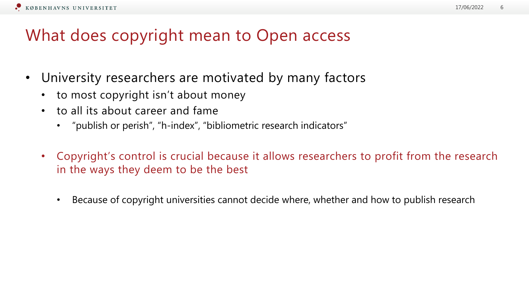## What does copyright mean to Open access

- University researchers are motivated by many factors
	- to most copyright isn't about money
	- to all its about career and fame
		- "publish or perish", "h-index", "bibliometric research indicators"
	- Copyright's control is crucial because it allows researchers to profit from the research in the ways they deem to be the best
		- Because of copyright universities cannot decide where, whether and how to publish research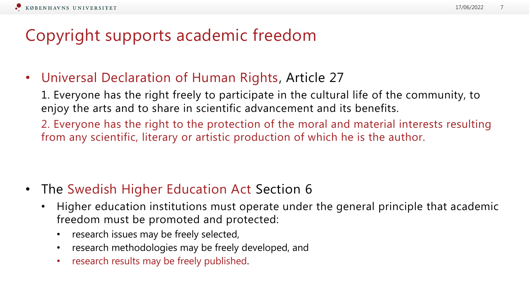#### 17/06/2022 7

### Copyright supports academic freedom

• Universal Declaration of Human Rights, Article 27

1. Everyone has the right freely to participate in the cultural life of the community, to enjoy the arts and to share in scientific advancement and its benefits.

2. Everyone has the right to the protection of the moral and material interests resulting from any scientific, literary or artistic production of which he is the author.

- The Swedish Higher Education Act Section 6
	- Higher education institutions must operate under the general principle that academic freedom must be promoted and protected:
		- research issues may be freely selected,
		- research methodologies may be freely developed, and
		- research results may be freely published.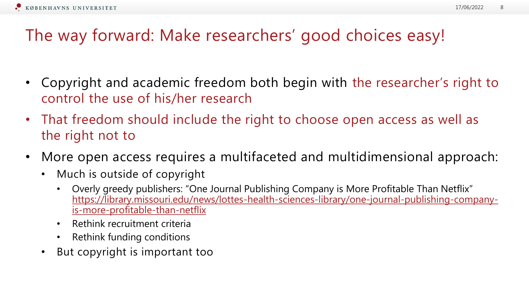# The way forward: Make researchers' good choices easy!

- Copyright and academic freedom both begin with the researcher's right to control the use of his/her research
- That freedom should include the right to choose open access as well as the right not to
- More open access requires a multifaceted and multidimensional approach:
	- Much is outside of copyright
		- Overly greedy publishers: "One Journal Publishing Company is More Profitable Than Netflix" [https://library.missouri.edu/news/lottes-health-sciences-library/one-journal-publishing-company](https://library.missouri.edu/news/lottes-health-sciences-library/one-journal-publishing-company-is-more-profitable-than-netflix)is-more-profitable-than-netflix
		- Rethink recruitment criteria
		- Rethink funding conditions
	- But copyright is important too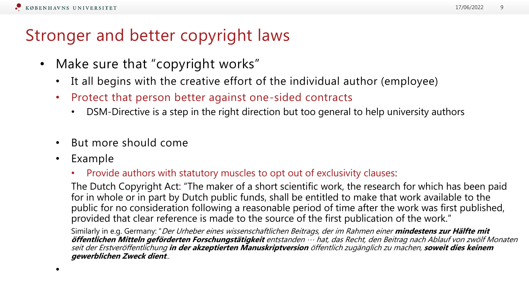### Stronger and better copyright laws

- Make sure that "copyright works"
	- It all begins with the creative effort of the individual author (employee)
	- Protect that person better against one-sided contracts
		- DSM-Directive is a step in the right direction but too general to help university authors
	- But more should come
	- Example
		- Provide authors with statutory muscles to opt out of exclusivity clauses:

The Dutch Copyright Act: "The maker of a short scientific work, the research for which has been paid for in whole or in part by Dutch public funds, shall be entitled to make that work available to the public for no consideration following a reasonable period of time after the work was first published, provided that clear reference is made to the source of the first publication of the work."

Similarly in e.g. Germany: "Der Urheber eines wissenschaftlichen Beitrags, der im Rahmen einer **mindestens zur Hälfte mit öffentlichen Mitteln geförderten Forschungstätigkeit** entstanden … hat, das Recht, den Beitrag nach Ablauf von zwölf Monaten seit der Erstveröffentlichung **in der akzeptierten Manuskriptversion** öffentlich zugänglich zu machen, **soweit dies keinem gewerblichen Zweck dient**..

•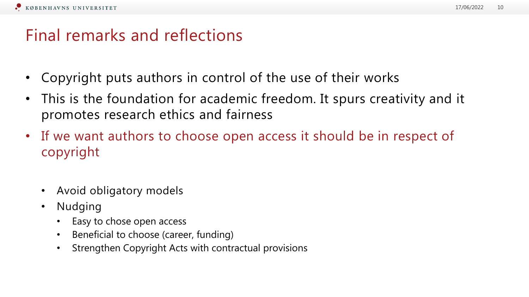### Final remarks and reflections

- Copyright puts authors in control of the use of their works
- This is the foundation for academic freedom. It spurs creativity and it promotes research ethics and fairness
- If we want authors to choose open access it should be in respect of copyright
	- Avoid obligatory models
	- Nudging
		- Easy to chose open access
		- Beneficial to choose (career, funding)
		- Strengthen Copyright Acts with contractual provisions